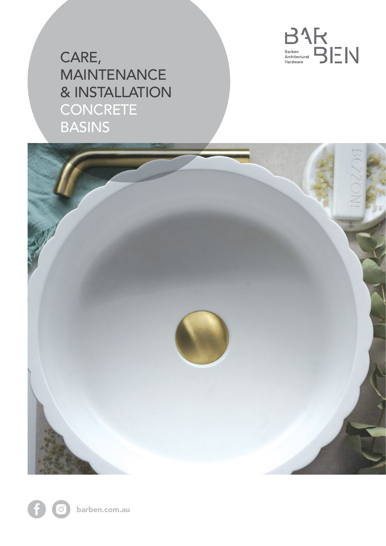

CARE, MAINTENANCE & INSTALLATION CONCRETE BASINS



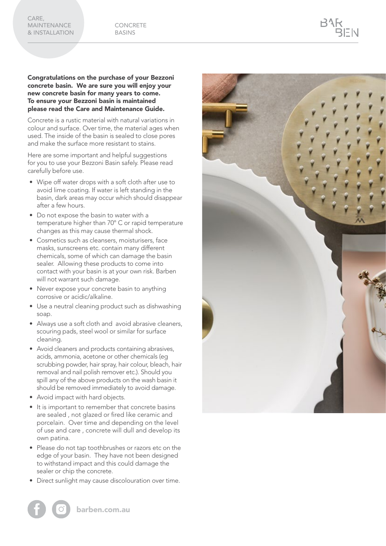Congratulations on the purchase of your Bezzoni concrete basin. We are sure you will enjoy your new concrete basin for many years to come. To ensure your Bezzoni basin is maintained please read the Care and Maintenance Guide.

Concrete is a rustic material with natural variations in colour and surface. Over time, the material ages when used. The inside of the basin is sealed to close pores and make the surface more resistant to stains.

Here are some important and helpful suggestions for you to use your Bezzoni Basin safely. Please read carefully before use.

- Wipe off water drops with a soft cloth after use to avoid lime coating. If water is left standing in the basin, dark areas may occur which should disappear after a few hours.
- Do not expose the basin to water with a temperature higher than 70° C or rapid temperature changes as this may cause thermal shock.
- Cosmetics such as cleansers, moisturisers, face masks, sunscreens etc. contain many different chemicals, some of which can damage the basin sealer. Allowing these products to come into contact with your basin is at your own risk. Barben will not warrant such damage.
- Never expose your concrete basin to anything corrosive or acidic/alkaline.
- Use a neutral cleaning product such as dishwashing soap.
- Always use a soft cloth and avoid abrasive cleaners, scouring pads, steel wool or similar for surface cleaning.
- Avoid cleaners and products containing abrasives, acids, ammonia, acetone or other chemicals (eg scrubbing powder, hair spray, hair colour, bleach, hair removal and nail polish remover etc.). Should you spill any of the above products on the wash basin it should be removed immediately to avoid damage.
- Avoid impact with hard objects.
- It is important to remember that concrete basins are sealed , not glazed or fired like ceramic and porcelain. Over time and depending on the level of use and care , concrete will dull and develop its own patina.
- Please do not tap toothbrushes or razors etc on the edge of your basin. They have not been designed to withstand impact and this could damage the sealer or chip the concrete.
- Direct sunlight may cause discolouration over time.